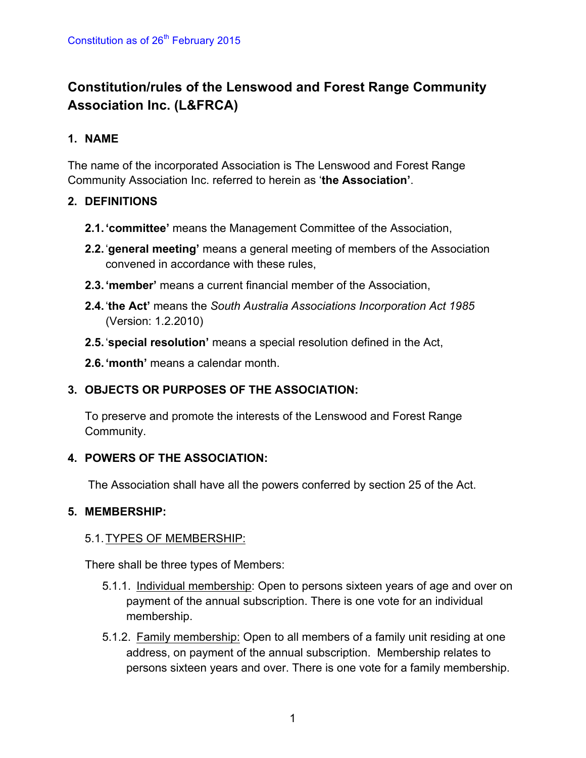# **Constitution/rules of the Lenswood and Forest Range Community Association Inc. (L&FRCA)**

# **1. NAME**

The name of the incorporated Association is The Lenswood and Forest Range Community Association Inc. referred to herein as '**the Association'**.

# **2. DEFINITIONS**

- **2.1.'committee'** means the Management Committee of the Association,
- **2.2.**'**general meeting'** means a general meeting of members of the Association convened in accordance with these rules,
- **2.3.'member'** means a current financial member of the Association,
- **2.4.**'**the Act'** means the *South Australia Associations Incorporation Act 1985* (Version: 1.2.2010)
- **2.5.**'**special resolution'** means a special resolution defined in the Act,
- **2.6.'month'** means a calendar month.

# **3. OBJECTS OR PURPOSES OF THE ASSOCIATION:**

To preserve and promote the interests of the Lenswood and Forest Range Community.

# **4. POWERS OF THE ASSOCIATION:**

The Association shall have all the powers conferred by section 25 of the Act.

# **5. MEMBERSHIP:**

# 5.1.TYPES OF MEMBERSHIP:

There shall be three types of Members:

- 5.1.1. Individual membership: Open to persons sixteen years of age and over on payment of the annual subscription. There is one vote for an individual membership.
- 5.1.2. Family membership: Open to all members of a family unit residing at one address, on payment of the annual subscription. Membership relates to persons sixteen years and over. There is one vote for a family membership.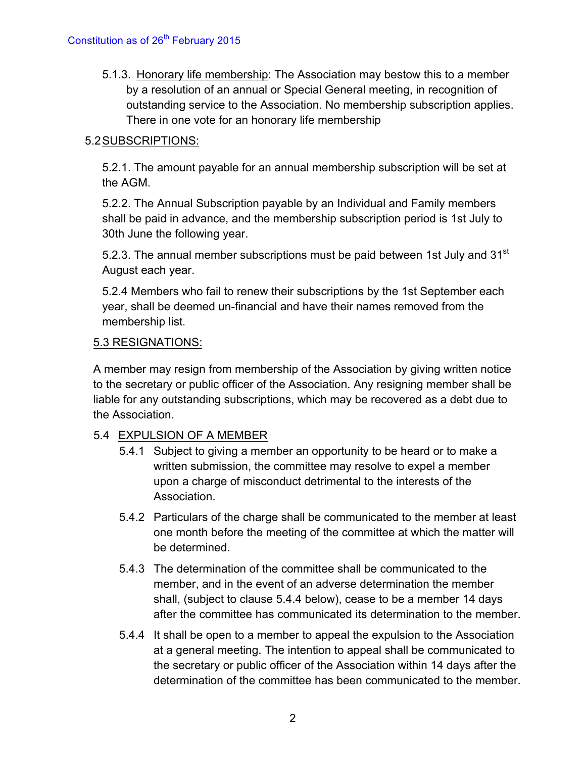5.1.3. Honorary life membership: The Association may bestow this to a member by a resolution of an annual or Special General meeting, in recognition of outstanding service to the Association. No membership subscription applies. There in one vote for an honorary life membership

# 5.2SUBSCRIPTIONS:

5.2.1. The amount payable for an annual membership subscription will be set at the AGM.

5.2.2. The Annual Subscription payable by an Individual and Family members shall be paid in advance, and the membership subscription period is 1st July to 30th June the following year.

5.2.3. The annual member subscriptions must be paid between 1st July and 31<sup>st</sup> August each year.

5.2.4 Members who fail to renew their subscriptions by the 1st September each year, shall be deemed un-financial and have their names removed from the membership list.

#### 5.3 RESIGNATIONS:

A member may resign from membership of the Association by giving written notice to the secretary or public officer of the Association. Any resigning member shall be liable for any outstanding subscriptions, which may be recovered as a debt due to the Association.

#### 5.4 EXPULSION OF A MEMBER

- 5.4.1 Subject to giving a member an opportunity to be heard or to make a written submission, the committee may resolve to expel a member upon a charge of misconduct detrimental to the interests of the Association.
- 5.4.2 Particulars of the charge shall be communicated to the member at least one month before the meeting of the committee at which the matter will be determined.
- 5.4.3 The determination of the committee shall be communicated to the member, and in the event of an adverse determination the member shall, (subject to clause 5.4.4 below), cease to be a member 14 days after the committee has communicated its determination to the member.
- 5.4.4 It shall be open to a member to appeal the expulsion to the Association at a general meeting. The intention to appeal shall be communicated to the secretary or public officer of the Association within 14 days after the determination of the committee has been communicated to the member.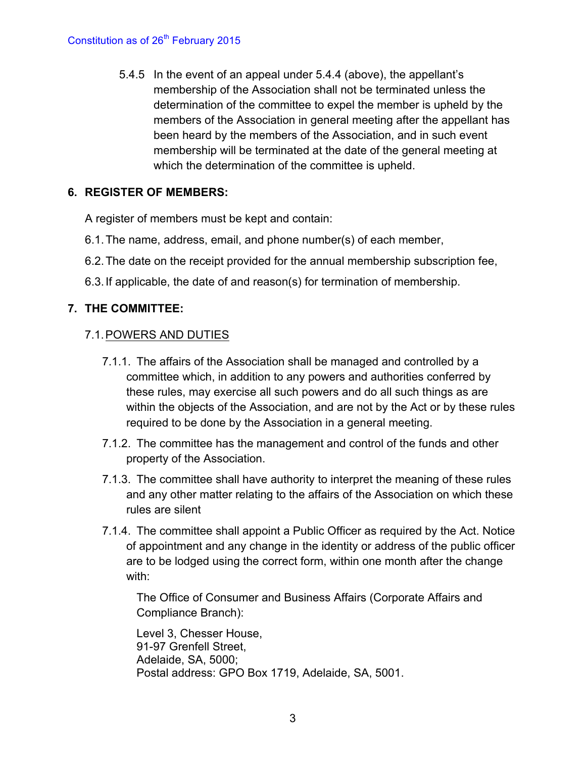5.4.5 In the event of an appeal under 5.4.4 (above), the appellant's membership of the Association shall not be terminated unless the determination of the committee to expel the member is upheld by the members of the Association in general meeting after the appellant has been heard by the members of the Association, and in such event membership will be terminated at the date of the general meeting at which the determination of the committee is upheld.

# **6. REGISTER OF MEMBERS:**

A register of members must be kept and contain:

- 6.1.The name, address, email, and phone number(s) of each member,
- 6.2.The date on the receipt provided for the annual membership subscription fee,
- 6.3.If applicable, the date of and reason(s) for termination of membership.

# **7. THE COMMITTEE:**

#### 7.1.POWERS AND DUTIES

- 7.1.1. The affairs of the Association shall be managed and controlled by a committee which, in addition to any powers and authorities conferred by these rules, may exercise all such powers and do all such things as are within the objects of the Association, and are not by the Act or by these rules required to be done by the Association in a general meeting.
- 7.1.2. The committee has the management and control of the funds and other property of the Association.
- 7.1.3. The committee shall have authority to interpret the meaning of these rules and any other matter relating to the affairs of the Association on which these rules are silent
- 7.1.4. The committee shall appoint a Public Officer as required by the Act. Notice of appointment and any change in the identity or address of the public officer are to be lodged using the correct form, within one month after the change with:

The Office of Consumer and Business Affairs (Corporate Affairs and Compliance Branch):

Level 3, Chesser House, 91-97 Grenfell Street, Adelaide, SA, 5000; Postal address: GPO Box 1719, Adelaide, SA, 5001.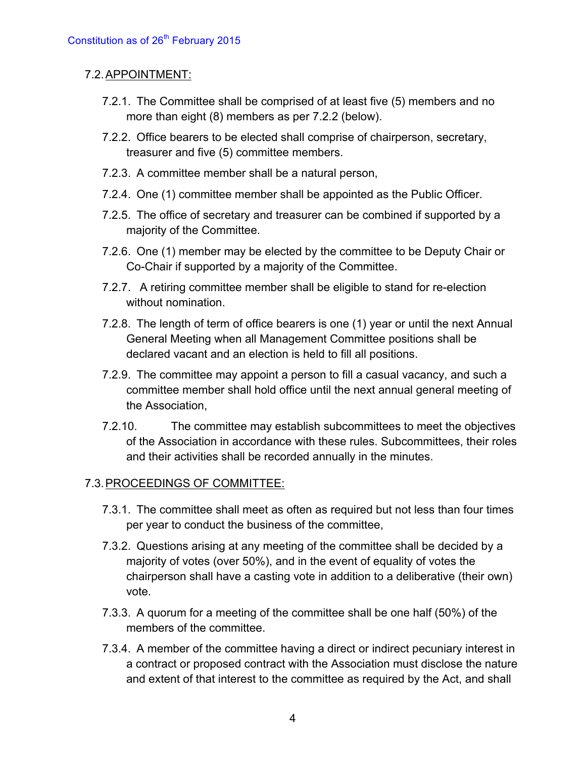#### 7.2.APPOINTMENT:

- 7.2.1. The Committee shall be comprised of at least five (5) members and no more than eight (8) members as per 7.2.2 (below).
- 7.2.2. Office bearers to be elected shall comprise of chairperson, secretary, treasurer and five (5) committee members.
- 7.2.3. A committee member shall be a natural person,
- 7.2.4. One (1) committee member shall be appointed as the Public Officer.
- 7.2.5. The office of secretary and treasurer can be combined if supported by a majority of the Committee.
- 7.2.6. One (1) member may be elected by the committee to be Deputy Chair or Co-Chair if supported by a majority of the Committee.
- 7.2.7. A retiring committee member shall be eligible to stand for re-election without nomination.
- 7.2.8. The length of term of office bearers is one (1) year or until the next Annual General Meeting when all Management Committee positions shall be declared vacant and an election is held to fill all positions.
- 7.2.9. The committee may appoint a person to fill a casual vacancy, and such a committee member shall hold office until the next annual general meeting of the Association,
- 7.2.10. The committee may establish subcommittees to meet the objectives of the Association in accordance with these rules. Subcommittees, their roles and their activities shall be recorded annually in the minutes.

#### 7.3.PROCEEDINGS OF COMMITTEE:

- 7.3.1. The committee shall meet as often as required but not less than four times per year to conduct the business of the committee,
- 7.3.2. Questions arising at any meeting of the committee shall be decided by a majority of votes (over 50%), and in the event of equality of votes the chairperson shall have a casting vote in addition to a deliberative (their own) vote.
- 7.3.3. A quorum for a meeting of the committee shall be one half (50%) of the members of the committee.
- 7.3.4. A member of the committee having a direct or indirect pecuniary interest in a contract or proposed contract with the Association must disclose the nature and extent of that interest to the committee as required by the Act, and shall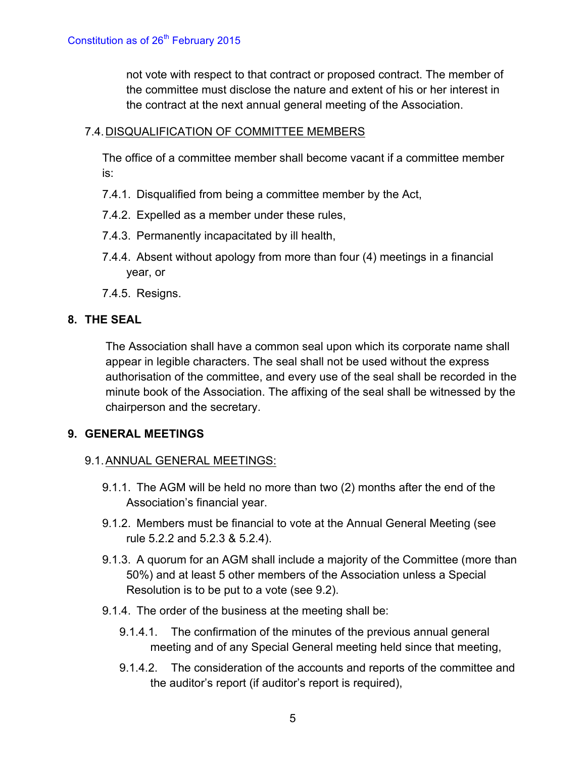not vote with respect to that contract or proposed contract. The member of the committee must disclose the nature and extent of his or her interest in the contract at the next annual general meeting of the Association.

#### 7.4.DISQUALIFICATION OF COMMITTEE MEMBERS

The office of a committee member shall become vacant if a committee member is:

- 7.4.1. Disqualified from being a committee member by the Act,
- 7.4.2. Expelled as a member under these rules,
- 7.4.3. Permanently incapacitated by ill health,
- 7.4.4. Absent without apology from more than four (4) meetings in a financial year, or
- 7.4.5. Resigns.

#### **8. THE SEAL**

The Association shall have a common seal upon which its corporate name shall appear in legible characters. The seal shall not be used without the express authorisation of the committee, and every use of the seal shall be recorded in the minute book of the Association. The affixing of the seal shall be witnessed by the chairperson and the secretary.

#### **9. GENERAL MEETINGS**

#### 9.1.ANNUAL GENERAL MEETINGS:

- 9.1.1. The AGM will be held no more than two (2) months after the end of the Association's financial year.
- 9.1.2. Members must be financial to vote at the Annual General Meeting (see rule 5.2.2 and 5.2.3 & 5.2.4).
- 9.1.3. A quorum for an AGM shall include a majority of the Committee (more than 50%) and at least 5 other members of the Association unless a Special Resolution is to be put to a vote (see 9.2).
- 9.1.4. The order of the business at the meeting shall be:
	- 9.1.4.1. The confirmation of the minutes of the previous annual general meeting and of any Special General meeting held since that meeting,
	- 9.1.4.2. The consideration of the accounts and reports of the committee and the auditor's report (if auditor's report is required),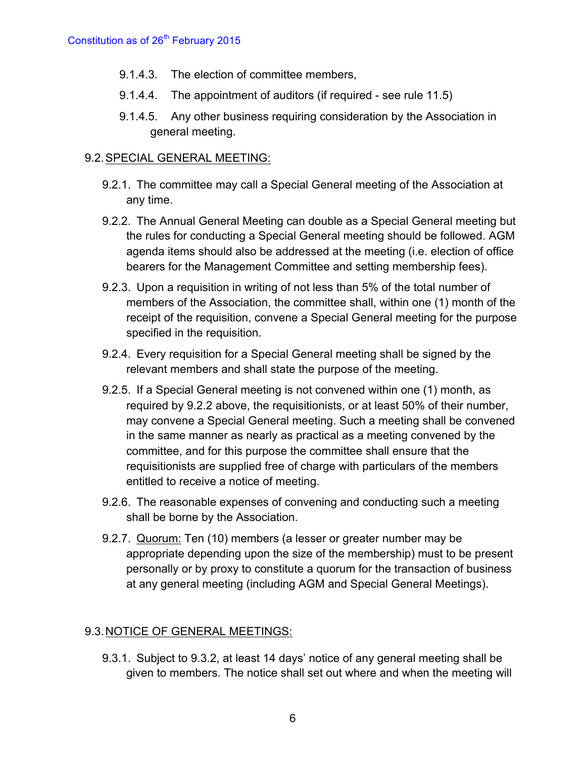- 9.1.4.3. The election of committee members,
- 9.1.4.4. The appointment of auditors (if required see rule 11.5)
- 9.1.4.5. Any other business requiring consideration by the Association in general meeting.

#### 9.2.SPECIAL GENERAL MEETING:

- 9.2.1. The committee may call a Special General meeting of the Association at any time.
- 9.2.2. The Annual General Meeting can double as a Special General meeting but the rules for conducting a Special General meeting should be followed. AGM agenda items should also be addressed at the meeting (i.e. election of office bearers for the Management Committee and setting membership fees).
- 9.2.3. Upon a requisition in writing of not less than 5% of the total number of members of the Association, the committee shall, within one (1) month of the receipt of the requisition, convene a Special General meeting for the purpose specified in the requisition.
- 9.2.4. Every requisition for a Special General meeting shall be signed by the relevant members and shall state the purpose of the meeting.
- 9.2.5. If a Special General meeting is not convened within one (1) month, as required by 9.2.2 above, the requisitionists, or at least 50% of their number, may convene a Special General meeting. Such a meeting shall be convened in the same manner as nearly as practical as a meeting convened by the committee, and for this purpose the committee shall ensure that the requisitionists are supplied free of charge with particulars of the members entitled to receive a notice of meeting.
- 9.2.6. The reasonable expenses of convening and conducting such a meeting shall be borne by the Association.
- 9.2.7. Quorum: Ten (10) members (a lesser or greater number may be appropriate depending upon the size of the membership) must to be present personally or by proxy to constitute a quorum for the transaction of business at any general meeting (including AGM and Special General Meetings).

# 9.3.NOTICE OF GENERAL MEETINGS:

9.3.1. Subject to 9.3.2, at least 14 days' notice of any general meeting shall be given to members. The notice shall set out where and when the meeting will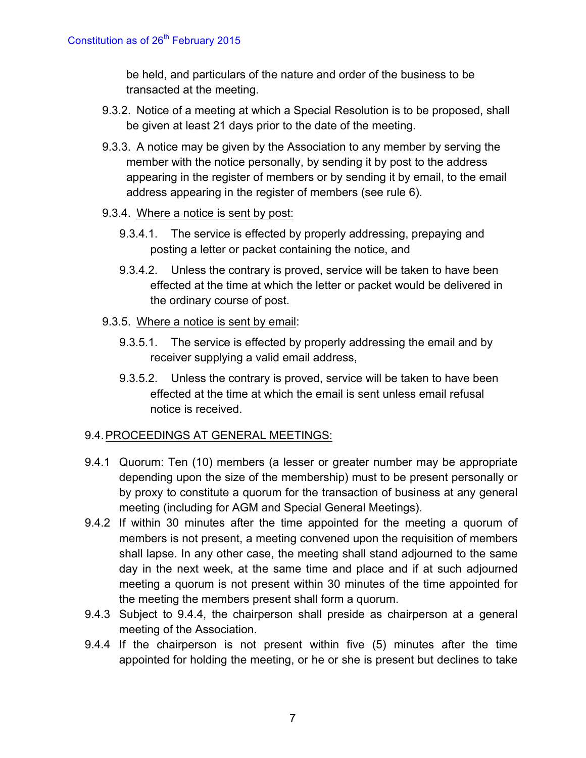be held, and particulars of the nature and order of the business to be transacted at the meeting.

- 9.3.2. Notice of a meeting at which a Special Resolution is to be proposed, shall be given at least 21 days prior to the date of the meeting.
- 9.3.3. A notice may be given by the Association to any member by serving the member with the notice personally, by sending it by post to the address appearing in the register of members or by sending it by email, to the email address appearing in the register of members (see rule 6).
- 9.3.4. Where a notice is sent by post:
	- 9.3.4.1. The service is effected by properly addressing, prepaying and posting a letter or packet containing the notice, and
	- 9.3.4.2. Unless the contrary is proved, service will be taken to have been effected at the time at which the letter or packet would be delivered in the ordinary course of post.
- 9.3.5. Where a notice is sent by email:
	- 9.3.5.1. The service is effected by properly addressing the email and by receiver supplying a valid email address,
	- 9.3.5.2. Unless the contrary is proved, service will be taken to have been effected at the time at which the email is sent unless email refusal notice is received.

# 9.4.PROCEEDINGS AT GENERAL MEETINGS:

- 9.4.1 Quorum: Ten (10) members (a lesser or greater number may be appropriate depending upon the size of the membership) must to be present personally or by proxy to constitute a quorum for the transaction of business at any general meeting (including for AGM and Special General Meetings).
- 9.4.2 If within 30 minutes after the time appointed for the meeting a quorum of members is not present, a meeting convened upon the requisition of members shall lapse. In any other case, the meeting shall stand adjourned to the same day in the next week, at the same time and place and if at such adjourned meeting a quorum is not present within 30 minutes of the time appointed for the meeting the members present shall form a quorum.
- 9.4.3 Subject to 9.4.4, the chairperson shall preside as chairperson at a general meeting of the Association.
- 9.4.4 If the chairperson is not present within five (5) minutes after the time appointed for holding the meeting, or he or she is present but declines to take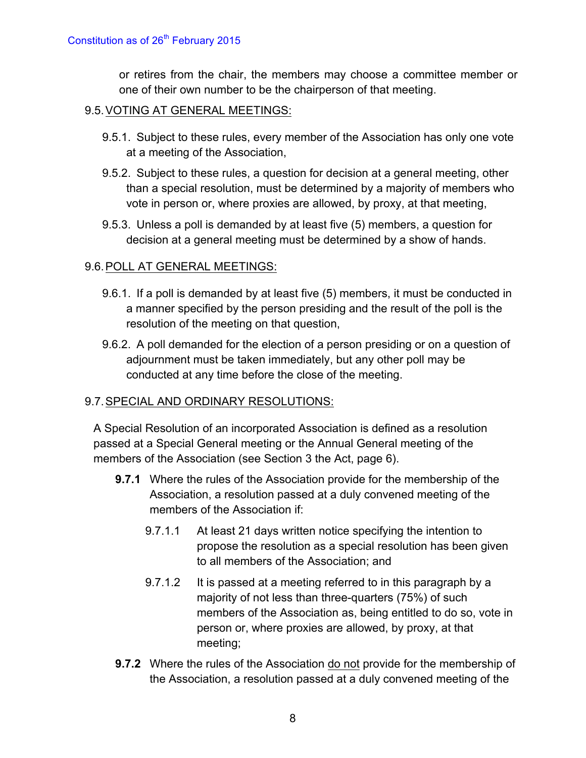or retires from the chair, the members may choose a committee member or one of their own number to be the chairperson of that meeting.

#### 9.5.VOTING AT GENERAL MEETINGS:

- 9.5.1. Subject to these rules, every member of the Association has only one vote at a meeting of the Association,
- 9.5.2. Subject to these rules, a question for decision at a general meeting, other than a special resolution, must be determined by a majority of members who vote in person or, where proxies are allowed, by proxy, at that meeting,
- 9.5.3. Unless a poll is demanded by at least five (5) members, a question for decision at a general meeting must be determined by a show of hands.

#### 9.6.POLL AT GENERAL MEETINGS:

- 9.6.1. If a poll is demanded by at least five (5) members, it must be conducted in a manner specified by the person presiding and the result of the poll is the resolution of the meeting on that question,
- 9.6.2. A poll demanded for the election of a person presiding or on a question of adjournment must be taken immediately, but any other poll may be conducted at any time before the close of the meeting.

# 9.7.SPECIAL AND ORDINARY RESOLUTIONS:

A Special Resolution of an incorporated Association is defined as a resolution passed at a Special General meeting or the Annual General meeting of the members of the Association (see Section 3 the Act, page 6).

- **9.7.1** Where the rules of the Association provide for the membership of the Association, a resolution passed at a duly convened meeting of the members of the Association if:
	- 9.7.1.1 At least 21 days written notice specifying the intention to propose the resolution as a special resolution has been given to all members of the Association; and
	- 9.7.1.2 It is passed at a meeting referred to in this paragraph by a majority of not less than three-quarters (75%) of such members of the Association as, being entitled to do so, vote in person or, where proxies are allowed, by proxy, at that meeting;
- **9.7.2** Where the rules of the Association do not provide for the membership of the Association, a resolution passed at a duly convened meeting of the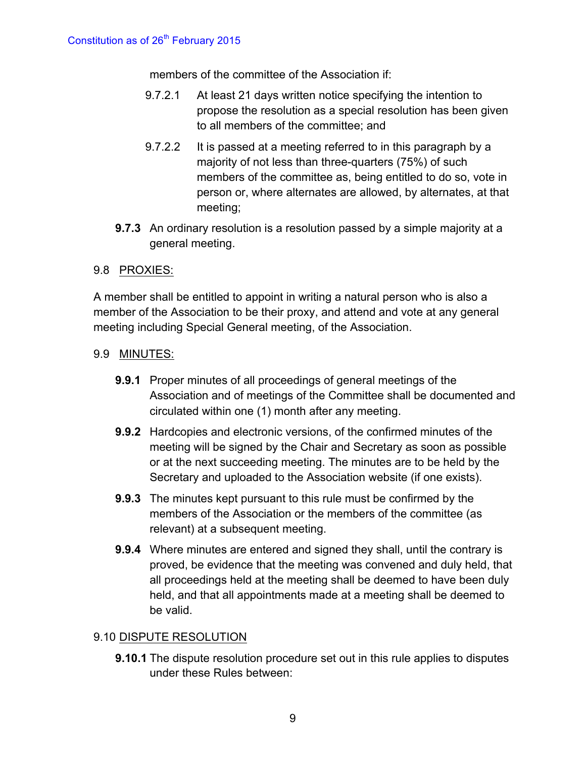members of the committee of the Association if:

- 9.7.2.1 At least 21 days written notice specifying the intention to propose the resolution as a special resolution has been given to all members of the committee; and
- 9.7.2.2 It is passed at a meeting referred to in this paragraph by a majority of not less than three-quarters (75%) of such members of the committee as, being entitled to do so, vote in person or, where alternates are allowed, by alternates, at that meeting;
- **9.7.3** An ordinary resolution is a resolution passed by a simple majority at a general meeting.

#### 9.8 PROXIES:

A member shall be entitled to appoint in writing a natural person who is also a member of the Association to be their proxy, and attend and vote at any general meeting including Special General meeting, of the Association.

#### 9.9 MINUTES:

- **9.9.1** Proper minutes of all proceedings of general meetings of the Association and of meetings of the Committee shall be documented and circulated within one (1) month after any meeting.
- **9.9.2** Hardcopies and electronic versions, of the confirmed minutes of the meeting will be signed by the Chair and Secretary as soon as possible or at the next succeeding meeting. The minutes are to be held by the Secretary and uploaded to the Association website (if one exists).
- **9.9.3** The minutes kept pursuant to this rule must be confirmed by the members of the Association or the members of the committee (as relevant) at a subsequent meeting.
- **9.9.4** Where minutes are entered and signed they shall, until the contrary is proved, be evidence that the meeting was convened and duly held, that all proceedings held at the meeting shall be deemed to have been duly held, and that all appointments made at a meeting shall be deemed to be valid.

#### 9.10 DISPUTE RESOLUTION

**9.10.1** The dispute resolution procedure set out in this rule applies to disputes under these Rules between: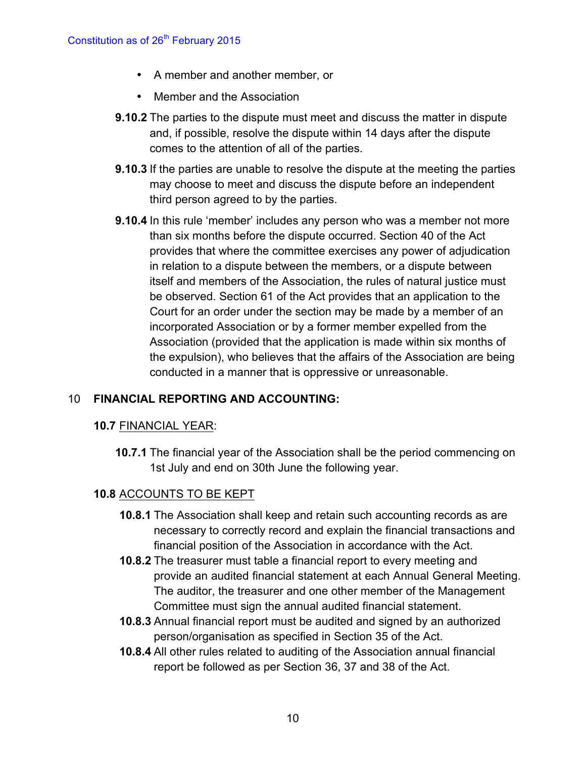- A member and another member, or
- Member and the Association
- **9.10.2** The parties to the dispute must meet and discuss the matter in dispute and, if possible, resolve the dispute within 14 days after the dispute comes to the attention of all of the parties.
- **9.10.3** If the parties are unable to resolve the dispute at the meeting the parties may choose to meet and discuss the dispute before an independent third person agreed to by the parties.
- **9.10.4** In this rule 'member' includes any person who was a member not more than six months before the dispute occurred. Section 40 of the Act provides that where the committee exercises any power of adjudication in relation to a dispute between the members, or a dispute between itself and members of the Association, the rules of natural justice must be observed. Section 61 of the Act provides that an application to the Court for an order under the section may be made by a member of an incorporated Association or by a former member expelled from the Association (provided that the application is made within six months of the expulsion), who believes that the affairs of the Association are being conducted in a manner that is oppressive or unreasonable.

# 10 **FINANCIAL REPORTING AND ACCOUNTING:**

# **10.7** FINANCIAL YEAR:

**10.7.1** The financial year of the Association shall be the period commencing on 1st July and end on 30th June the following year.

# **10.8** ACCOUNTS TO BE KEPT

- **10.8.1** The Association shall keep and retain such accounting records as are necessary to correctly record and explain the financial transactions and financial position of the Association in accordance with the Act.
- **10.8.2** The treasurer must table a financial report to every meeting and provide an audited financial statement at each Annual General Meeting. The auditor, the treasurer and one other member of the Management Committee must sign the annual audited financial statement.
- **10.8.3** Annual financial report must be audited and signed by an authorized person/organisation as specified in Section 35 of the Act.
- **10.8.4** All other rules related to auditing of the Association annual financial report be followed as per Section 36, 37 and 38 of the Act.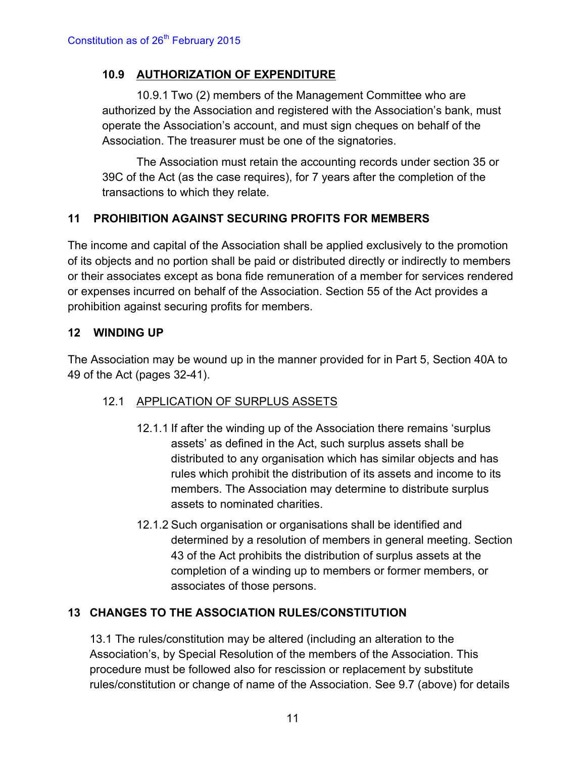# **10.9 AUTHORIZATION OF EXPENDITURE**

10.9.1 Two (2) members of the Management Committee who are authorized by the Association and registered with the Association's bank, must operate the Association's account, and must sign cheques on behalf of the Association. The treasurer must be one of the signatories.

The Association must retain the accounting records under section 35 or 39C of the Act (as the case requires), for 7 years after the completion of the transactions to which they relate.

# **11 PROHIBITION AGAINST SECURING PROFITS FOR MEMBERS**

The income and capital of the Association shall be applied exclusively to the promotion of its objects and no portion shall be paid or distributed directly or indirectly to members or their associates except as bona fide remuneration of a member for services rendered or expenses incurred on behalf of the Association. Section 55 of the Act provides a prohibition against securing profits for members.

# **12 WINDING UP**

The Association may be wound up in the manner provided for in Part 5, Section 40A to 49 of the Act (pages 32-41).

# 12.1 APPLICATION OF SURPLUS ASSETS

- 12.1.1 If after the winding up of the Association there remains 'surplus assets' as defined in the Act, such surplus assets shall be distributed to any organisation which has similar objects and has rules which prohibit the distribution of its assets and income to its members. The Association may determine to distribute surplus assets to nominated charities.
- 12.1.2 Such organisation or organisations shall be identified and determined by a resolution of members in general meeting. Section 43 of the Act prohibits the distribution of surplus assets at the completion of a winding up to members or former members, or associates of those persons.

# **13 CHANGES TO THE ASSOCIATION RULES/CONSTITUTION**

13.1 The rules/constitution may be altered (including an alteration to the Association's, by Special Resolution of the members of the Association. This procedure must be followed also for rescission or replacement by substitute rules/constitution or change of name of the Association. See 9.7 (above) for details